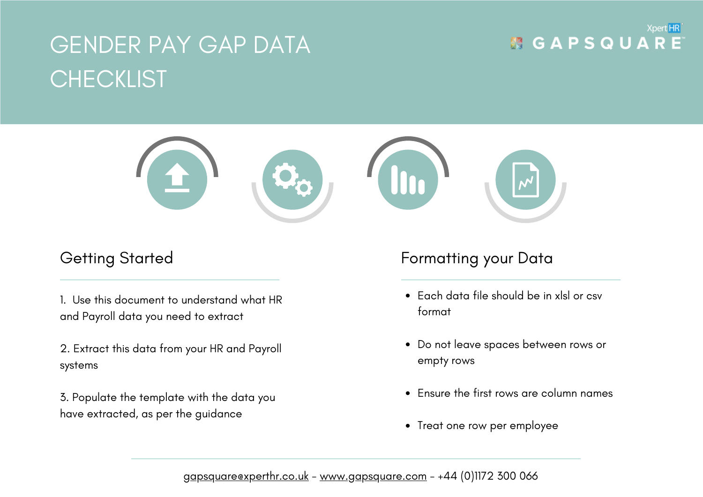# GENDER PAY GAP DATA **CHECKLIST**

#### Xpert HR **MGAPSQUARE**



1. Use this document to understand what HR and Payroll data you need to extract

2. Extract this data from your HR and Payroll systems

3. Populate the template with the data you have extracted, as per the guidance

# Getting Started **Formatting your Data**

- Each data file should be in xlsl or csv format
- Do not leave spaces between rows or empty rows
- Ensure the first rows are column names
- Treat one row per employee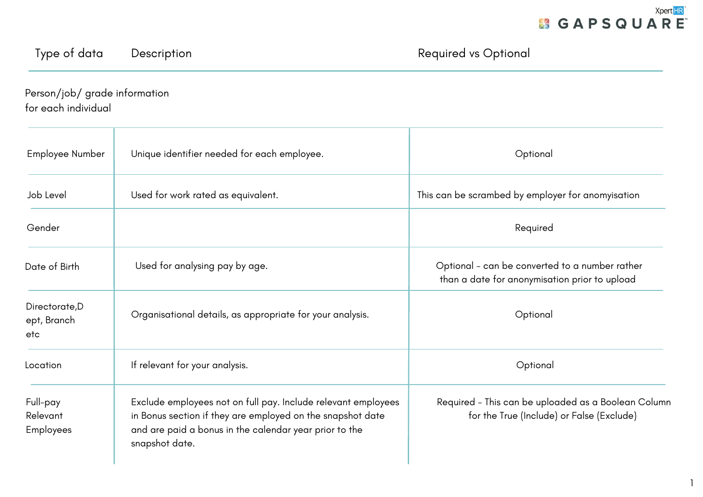### Type of data Description **Description Required vs Optional**

Person/job/ grade information for each individual

| Employee Number                          | Unique identifier needed for each employee.                                                                                                                                                             | Optional                                                                                         |
|------------------------------------------|---------------------------------------------------------------------------------------------------------------------------------------------------------------------------------------------------------|--------------------------------------------------------------------------------------------------|
| Job Level                                | Used for work rated as equivalent.                                                                                                                                                                      | This can be scrambed by employer for anomyisation                                                |
| Gender                                   |                                                                                                                                                                                                         | Required                                                                                         |
| Date of Birth                            | Used for analysing pay by age.                                                                                                                                                                          | Optional - can be converted to a number rather<br>than a date for anonymisation prior to upload  |
| Directorate, D<br>ept, Branch<br>etc     | Organisational details, as appropriate for your analysis.                                                                                                                                               | Optional                                                                                         |
| Location                                 | If relevant for your analysis.                                                                                                                                                                          | Optional                                                                                         |
| Full-pay<br>Relevant<br><b>Employees</b> | Exclude employees not on full pay. Include relevant employees<br>in Bonus section if they are employed on the snapshot date<br>and are paid a bonus in the calendar year prior to the<br>snapshot date. | Required - This can be uploaded as a Boolean Column<br>for the True (Include) or False (Exclude) |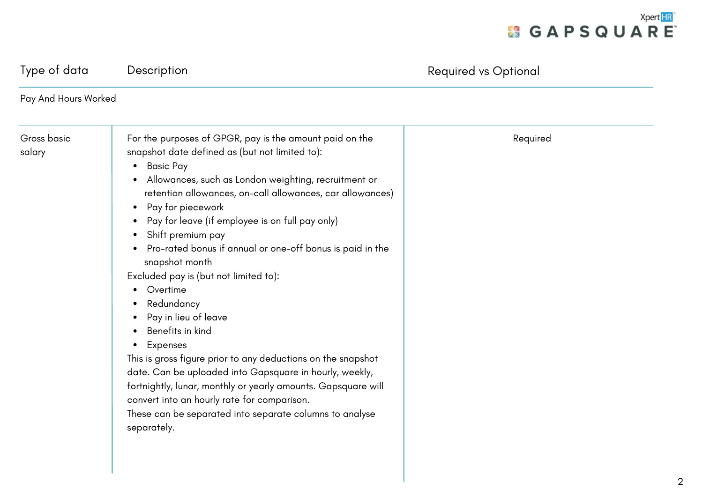

| Pay And Hours Worked                                                                                                                                                                                                                                                                                                                                                                                                                                                                                                                                                                                                                                                                                                                                                                                                                                                                                                                                                                                                      |          |
|---------------------------------------------------------------------------------------------------------------------------------------------------------------------------------------------------------------------------------------------------------------------------------------------------------------------------------------------------------------------------------------------------------------------------------------------------------------------------------------------------------------------------------------------------------------------------------------------------------------------------------------------------------------------------------------------------------------------------------------------------------------------------------------------------------------------------------------------------------------------------------------------------------------------------------------------------------------------------------------------------------------------------|----------|
| For the purposes of GPGR, pay is the amount paid on the<br>Gross basic<br>snapshot date defined as (but not limited to):<br>salary<br><b>Basic Pay</b><br>$\bullet$<br>Allowances, such as London weighting, recruitment or<br>$\bullet$<br>retention allowances, on-call allowances, car allowances)<br>Pay for piecework<br>$\bullet$<br>Pay for leave (if employee is on full pay only)<br>$\bullet$<br>Shift premium pay<br>$\bullet$<br>Pro-rated bonus if annual or one-off bonus is paid in the<br>٠<br>snapshot month<br>Excluded pay is (but not limited to):<br>Overtime<br>Redundancy<br>$\bullet$<br>Pay in lieu of leave<br>$\bullet$<br>Benefits in kind<br>٠<br>Expenses<br>$\bullet$<br>This is gross figure prior to any deductions on the snapshot<br>date. Can be uploaded into Gapsquare in hourly, weekly,<br>fortnightly, lunar, monthly or yearly amounts. Gapsquare will<br>convert into an hourly rate for comparison.<br>These can be separated into separate columns to analyse<br>separately. | Required |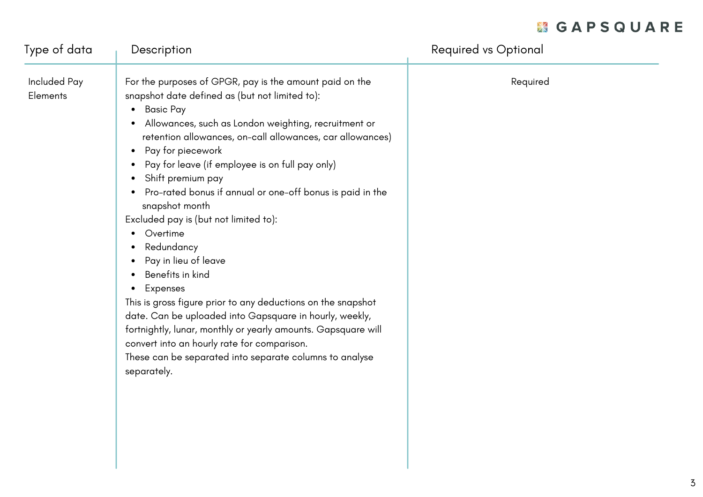# **KGAPSQUARE**

| Type of data                    | Description                                                                                                                                                                                                                                                                                                                                                                                                                                                                                                                                                                                                                                                                                                                                                                                                                                                                                                                                                                                              | <b>Required vs Optional</b> |
|---------------------------------|----------------------------------------------------------------------------------------------------------------------------------------------------------------------------------------------------------------------------------------------------------------------------------------------------------------------------------------------------------------------------------------------------------------------------------------------------------------------------------------------------------------------------------------------------------------------------------------------------------------------------------------------------------------------------------------------------------------------------------------------------------------------------------------------------------------------------------------------------------------------------------------------------------------------------------------------------------------------------------------------------------|-----------------------------|
| Included Pay<br><b>Elements</b> | For the purposes of GPGR, pay is the amount paid on the<br>snapshot date defined as (but not limited to):<br><b>Basic Pay</b><br>$\bullet$<br>Allowances, such as London weighting, recruitment or<br>$\bullet$<br>retention allowances, on-call allowances, car allowances)<br>Pay for piecework<br>$\bullet$<br>Pay for leave (if employee is on full pay only)<br>$\bullet$<br>Shift premium pay<br>$\bullet$<br>Pro-rated bonus if annual or one-off bonus is paid in the<br>$\bullet$<br>snapshot month<br>Excluded pay is (but not limited to):<br>Overtime<br>$\bullet$<br>Redundancy<br>٠<br>Pay in lieu of leave<br>Benefits in kind<br>$\bullet$<br>Expenses<br>$\bullet$<br>This is gross figure prior to any deductions on the snapshot<br>date. Can be uploaded into Gapsquare in hourly, weekly,<br>fortnightly, lunar, monthly or yearly amounts. Gapsquare will<br>convert into an hourly rate for comparison.<br>These can be separated into separate columns to analyse<br>separately. | Required                    |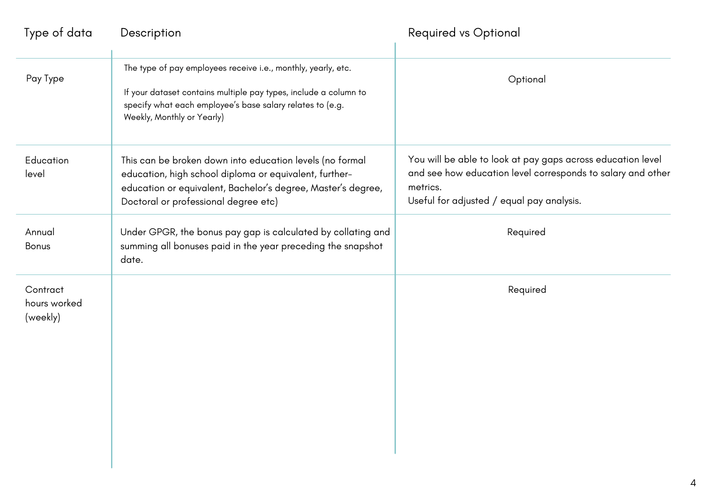| Type of data                         | Description                                                                                                                                                                                                                  | <b>Required vs Optional</b>                                                                                                                                                         |
|--------------------------------------|------------------------------------------------------------------------------------------------------------------------------------------------------------------------------------------------------------------------------|-------------------------------------------------------------------------------------------------------------------------------------------------------------------------------------|
| Pay Type                             | The type of pay employees receive i.e., monthly, yearly, etc.<br>If your dataset contains multiple pay types, include a column to<br>specify what each employee's base salary relates to (e.g.<br>Weekly, Monthly or Yearly) | Optional                                                                                                                                                                            |
| Education<br>level                   | This can be broken down into education levels (no formal<br>education, high school diploma or equivalent, further-<br>education or equivalent, Bachelor's degree, Master's degree,<br>Doctoral or professional degree etc)   | You will be able to look at pay gaps across education level<br>and see how education level corresponds to salary and other<br>metrics.<br>Useful for adjusted / equal pay analysis. |
| Annual<br><b>Bonus</b>               | Under GPGR, the bonus pay gap is calculated by collating and<br>summing all bonuses paid in the year preceding the snapshot<br>date.                                                                                         | Required                                                                                                                                                                            |
| Contract<br>hours worked<br>(weekly) |                                                                                                                                                                                                                              | Required                                                                                                                                                                            |